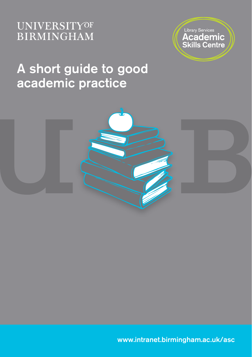### **UNIVERSITYOF BIRMINGHAM**



## A short guide to good academic practice



www.intranet.birmingham.ac.uk/asc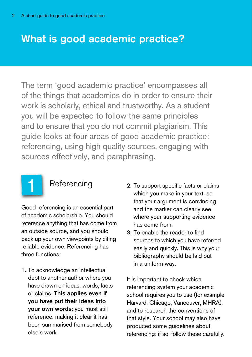### What is good academic practice?

The term 'good academic practice' encompasses all of the things that academics do in order to ensure their work is scholarly, ethical and trustworthy. As a student you will be expected to follow the same principles and to ensure that you do not commit plagiarism. This guide looks at four areas of good academic practice: referencing, using high quality sources, engaging with sources effectively, and paraphrasing.



### **Referencing**

Good referencing is an essential part of academic scholarship. You should reference anything that has come from an outside source, and you should back up your own viewpoints by citing reliable evidence. Referencing has three functions:

1. To acknowledge an intellectual debt to another author where you have drawn on ideas, words, facts or claims. This applies even if you have put their ideas into your own words: you must still reference, making it clear it has been summarised from somebody else's work.

- 2. To support specific facts or claims which you make in your text, so that your argument is convincing and the marker can clearly see where your supporting evidence has come from.
- 3. To enable the reader to find sources to which you have referred easily and quickly. This is why your bibliography should be laid out in a uniform way.

It is important to check which referencing system your academic school requires you to use (for example Harvard, Chicago, Vancouver, MHRA), and to research the conventions of that style. Your school may also have produced some guidelines about referencing: if so, follow these carefully.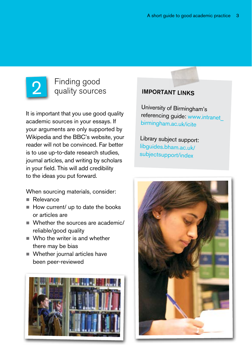

## **2** Finding good<br> **2** quality sources **IMPORTANT LINKS**

It is important that you use good quality academic sources in your essays. If your arguments are only supported by Wikipedia and the BBC's website, your reader will not be convinced. Far better is to use up-to-date research studies, journal articles, and writing by scholars in your field. This will add credibility to the ideas you put forward.

When sourcing materials, consider:

- Relevance
- $\blacksquare$  How current/ up to date the books or articles are
- Whether the sources are academic/ reliable/good quality
- Who the writer is and whether there may be bias
- Whether journal articles have been peer-reviewed



University of Birmingham's referencing guide: www.intranet\_ birmingham.ac.uk/icite

Library subject support: libguides.bham.ac.uk/ subjectsupport/index

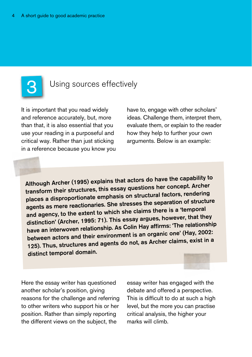

### Using sources effectively

It is important that you read widely and reference accurately, but, more than that, it is also essential that you use your reading in a purposeful and critical way. Rather than just sticking in a reference because you know you have to, engage with other scholars' ideas. Challenge them, interpret them, evaluate them, or explain to the reader how they help to further your own arguments. Below is an example:

Although Archer (1995) explains that actors do have the capability to transform their structures, this essay questions her concept. Archer places a disproportionate emphasis on structural factors, rendering agents as mere reactionaries. She stresses the separation of structure and agency, to the extent to which she claims there is a 'temporal distinction' (Archer, 1995: 71). This essay argues, however, that they have an interwoven relationship. As Colin Hay affirms: 'The relationship between actors and their environment is an organic one' (Hay, 2002: 125). Thus, structures and agents do not, as Archer claims, exist in a distinct temporal domain.

Here the essay writer has questioned another scholar's position, giving reasons for the challenge and referring to other writers who support his or her position. Rather than simply reporting the different views on the subject, the

essay writer has engaged with the debate and offered a perspective. This is difficult to do at such a high level, but the more you can practise critical analysis, the higher your marks will climb.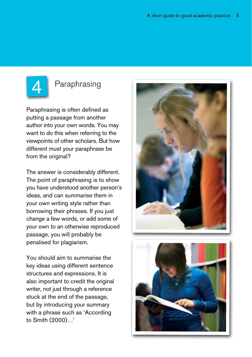

### Paraphrasing

Paraphrasing is often defined as putting a passage from another author into your own words. You may want to do this when referring to the viewpoints of other scholars. But how different must your paraphrase be from the original?

The answer is considerably different. The point of paraphrasing is to show you have understood another person's ideas, and can summarise them in your own writing style rather than borrowing their phrases. If you just change a few words, or add some of your own to an otherwise reproduced passage, you will probably be penalised for plagiarism.

You should aim to summarise the key ideas using different sentence structures and expressions. It is also important to credit the original writer, not just through a reference stuck at the end of the passage, but by introducing your summary with a phrase such as 'According to Smith (2000)…'



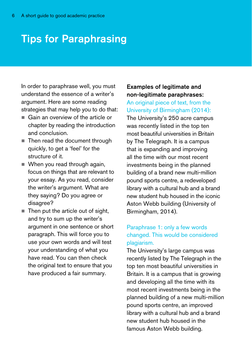### Tips for Paraphrasing

In order to paraphrase well, you must understand the essence of a writer's argument. Here are some reading strategies that may help you to do that:

- Gain an overview of the article or chapter by reading the introduction and conclusion.
- Then read the document through quickly, to get a 'feel' for the structure of it.
- When you read through again, focus on things that are relevant to your essay. As you read, consider the writer's argument. What are they saying? Do you agree or disagree?
- $\blacksquare$  Then put the article out of sight, and try to sum up the writer's argument in one sentence or short paragraph. This will force you to use your own words and will test your understanding of what you have read. You can then check the original text to ensure that you have produced a fair summary.

### Examples of legitimate and non-legitimate paraphrases:

An original piece of text, from the University of Birmingham (2014): The University's 250 acre campus was recently listed in the top ten most beautiful universities in Britain by The Telegraph. It is a campus that is expanding and improving all the time with our most recent investments being in the planned building of a brand new multi-million pound sports centre, a redeveloped library with a cultural hub and a brand new student hub housed in the iconic Aston Webb building (University of Birmingham, 2014).

### Paraphrase 1: only a few words changed. This would be considered plagiarism.

The University's large campus was recently listed by The Telegraph in the top ten most beautiful universities in Britain. It is a campus that is growing and developing all the time with its most recent investments being in the planned building of a new multi-million pound sports centre, an improved library with a cultural hub and a brand new student hub housed in the famous Aston Webb building.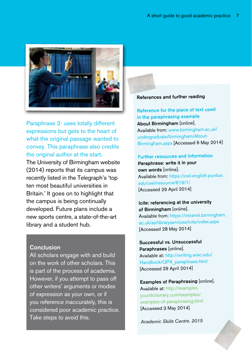

Paraphrase 2: uses totally different expressions but gets to the heart of what the original passage wanted to convey. This paraphrase also credits the original author at the start.

The University of Birmingham website (2014) reports that its campus was recently listed in the Telegraph's 'top ten most beautiful universities in Britain.' It goes on to highlight that the campus is being continually developed. Future plans include a new sports centre, a state-of-the-art library and a student hub.

#### **Conclusion**

All scholars engage with and build on the work of other scholars. This is part of the process of academia. However, if you attempt to pass off other writers' arguments or modes of expression as your own, or if you reference inaccurately, this is considered poor academic practice. Take steps to avoid this.

#### References and further reading

Reference for the piece of text used in the paraphrasing example About Birmingham [online]. Available from: www.birmingham.ac.uk/ undergraduate/birmingham/About-Birmingham.aspx [Accessed 6 May 2014]

#### Further resources and information Paraphrase: write it in your

own words [online]. Available from: https://owl.english.purdue. edu/owl/resource/619/1/ [Accessed 29 April 2014]

Icite: referencing at the university of Birmingham [online]. Available from: https://intranet.birmingham. ac.uk/as/libraryservices/icite/index.aspx [Accessed 28 May 2014]

Successful vs. Unsuccessful Paraphrases [online]. Available at: http://writing.wisc.edu/ Handbook/QPA\_paraphrase.html [Accessed 29 April 2014]

Examples of Paraphrasing [online]. Available at: http://examples. yourdictionary.com/examples/ examples-of-paraphrasing.html [Accessed 3 May 2014]

*Academic Skills Centre. 2015*